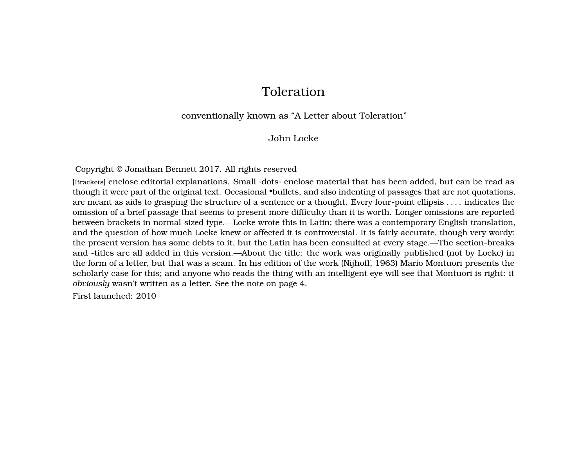# Toleration

#### conventionally known as "A Letter about Toleration"

#### John Locke

Copyright © Jonathan Bennett 2017. All rights reserved

[Brackets] enclose editorial explanations. Small ·dots· enclose material that has been added, but can be read as though it were part of the original text. Occasional •bullets, and also indenting of passages that are not quotations, are meant as aids to grasping the structure of a sentence or a thought. Every four-point ellipsis . . . . indicates the omission of a brief passage that seems to present more difficulty than it is worth. Longer omissions are reported between brackets in normal-sized type.—Locke wrote this in Latin; there was a contemporary English translation, and the question of how much Locke knew or affected it is controversial. It is fairly accurate, though very wordy; the present version has some debts to it, but the Latin has been consulted at every stage.—The section-breaks and -titles are all added in this version.—About the title: the work was originally published (not by Locke) in the form of a letter, but that was a scam. In his edition of the work (Nijhoff, 1963) Mario Montuori presents the scholarly case for this; and anyone who reads the thing with an intelligent eye will see that Montuori is right: it *obviously* wasn't written as a letter. See the note on page [4.](#page-4-0)

First launched: 2010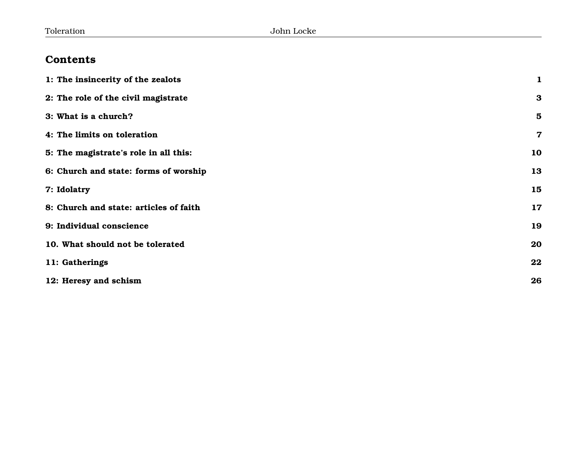# **Contents**

| 1: The insincerity of the zealots      | $\mathbf{1}$            |
|----------------------------------------|-------------------------|
| 2: The role of the civil magistrate    | $\bf{3}$                |
| 3: What is a church?                   | $\overline{\mathbf{5}}$ |
| 4: The limits on toleration            | $\mathbf 7$             |
| 5: The magistrate's role in all this:  | 10                      |
| 6: Church and state: forms of worship  | 13                      |
| 7: Idolatry                            | 15                      |
| 8: Church and state: articles of faith | 17                      |
| 9: Individual conscience               | 19                      |
| 10. What should not be tolerated       | 20                      |
| 11: Gatherings                         | 22                      |
| 12: Heresy and schism                  | 26                      |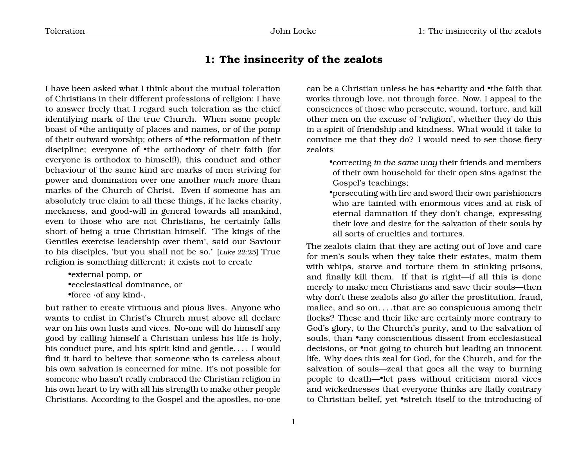### <span id="page-2-0"></span>**1: The insincerity of the zealots**

I have been asked what I think about the mutual toleration of Christians in their different professions of religion; I have to answer freely that I regard such toleration as the chief identifying mark of the true Church. When some people boast of •the antiquity of places and names, or of the pomp of their outward worship; others of •the reformation of their discipline; everyone of •the orthodoxy of their faith (for everyone is orthodox to himself!), this conduct and other behaviour of the same kind are marks of men striving for power and domination over one another *much* more than marks of the Church of Christ. Even if someone has an absolutely true claim to all these things, if he lacks charity, meekness, and good-will in general towards all mankind, even to those who are not Christians, he certainly falls short of being a true Christian himself. 'The kings of the Gentiles exercise leadership over them', said our Saviour to his disciples, 'but you shall not be so.' [*Luke* 22:25] True religion is something different: it exists not to create

•external pomp, or •ecclesiastical dominance, or •force ·of any kind·,

but rather to create virtuous and pious lives. Anyone who wants to enlist in Christ's Church must above all declare war on his own lusts and vices. No-one will do himself any good by calling himself a Christian unless his life is holy, his conduct pure, and his spirit kind and gentle. . . . I would find it hard to believe that someone who is careless about his own salvation is concerned for mine. It's not possible for someone who hasn't really embraced the Christian religion in his own heart to try with all his strength to make other people Christians. According to the Gospel and the apostles, no-one

can be a Christian unless he has •charity and •the faith that works through love, not through force. Now, I appeal to the consciences of those who persecute, wound, torture, and kill other men on the excuse of 'religion', whether they do this in a spirit of friendship and kindness. What would it take to convince me that they do? I would need to see those fiery zealots

•correcting *in the same way* their friends and members of their own household for their open sins against the Gospel's teachings;

•persecuting with fire and sword their own parishioners who are tainted with enormous vices and at risk of eternal damnation if they don't change, expressing their love and desire for the salvation of their souls by all sorts of cruelties and tortures.

The zealots claim that they are acting out of love and care for men's souls when they take their estates, maim them with whips, starve and torture them in stinking prisons, and finally kill them. If that is right—if all this is done merely to make men Christians and save their souls—then why don't these zealots also go after the prostitution, fraud, malice, and so on. . . .that are so conspicuous among their flocks? These and their like are certainly more contrary to God's glory, to the Church's purity, and to the salvation of souls, than *•any conscientious dissent from ecclesiastical* decisions, or •not going to church but leading an innocent life. Why does this zeal for God, for the Church, and for the salvation of souls—zeal that goes all the way to burning people to death—•let pass without criticism moral vices and wickednesses that everyone thinks are flatly contrary to Christian belief, yet •stretch itself to the introducing of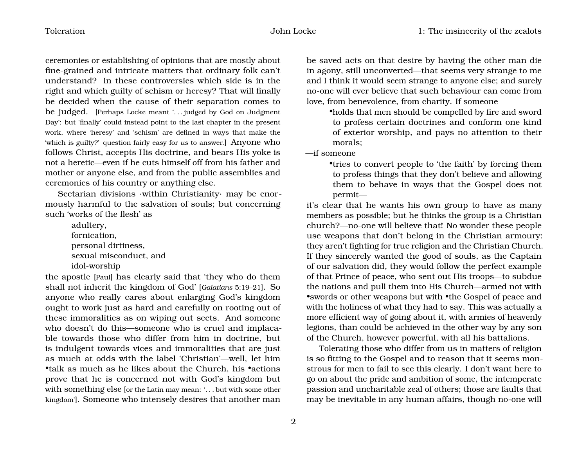ceremonies or establishing of opinions that are mostly about fine-grained and intricate matters that ordinary folk can't understand? In these controversies which side is in the right and which guilty of schism or heresy? That will finally be decided when the cause of their separation comes to be judged. [Perhaps Locke meant '... judged by God on Judgment Day'; but 'finally' could instead point to the last chapter in the present work, where 'heresy' and 'schism' are defined in ways that make the 'which is guilty?' question fairly easy for *us* to answer.] Anyone who follows Christ, accepts His doctrine, and bears His yoke is not a heretic—even if he cuts himself off from his father and mother or anyone else, and from the public assemblies and ceremonies of his country or anything else.

Sectarian divisions ·within Christianity· may be enormously harmful to the salvation of souls; but concerning such 'works of the flesh' as

> adultery, fornication, personal dirtiness, sexual misconduct, and idol-worship

the apostle [Paul] has clearly said that 'they who do them shall not inherit the kingdom of God' [*Galatians* 5:19–21]. So anyone who really cares about enlarging God's kingdom ought to work just as hard and carefully on rooting out of these immoralities as on wiping out sects. And someone who doesn't do this—someone who is cruel and implacable towards those who differ from him in doctrine, but is indulgent towards vices and immoralities that are just as much at odds with the label 'Christian'—well, let him •talk as much as he likes about the Church, his •actions prove that he is concerned not with God's kingdom but with something else [or the Latin may mean: '. . . but with some other kingdom']. Someone who intensely desires that another man

be saved acts on that desire by having the other man die in agony, still unconverted—that seems very strange to me and I think it would seem strange to anyone else; and surely no-one will ever believe that such behaviour can come from love, from benevolence, from charity. If someone

•holds that men should be compelled by fire and sword to profess certain doctrines and conform one kind of exterior worship, and pays no attention to their morals;

—if someone

•tries to convert people to 'the faith' by forcing them to profess things that they don't believe and allowing them to behave in ways that the Gospel does not permit—

it's clear that he wants his own group to have as many members as possible; but he thinks the group is a Christian church?—no-one will believe that! No wonder these people use weapons that don't belong in the Christian armoury: they aren't fighting for true religion and the Christian Church. If they sincerely wanted the good of souls, as the Captain of our salvation did, they would follow the perfect example of that Prince of peace, who sent out His troops—to subdue the nations and pull them into His Church—armed not with •swords or other weapons but with •the Gospel of peace and with the holiness of what they had to say. This was actually a more efficient way of going about it, with armies of heavenly legions, than could be achieved in the other way by any son of the Church, however powerful, with all his battalions.

Tolerating those who differ from us in matters of religion is so fitting to the Gospel and to reason that it seems monstrous for men to fail to see this clearly. I don't want here to go on about the pride and ambition of some, the intemperate passion and uncharitable zeal of others; those are faults that may be inevitable in any human affairs, though no-one will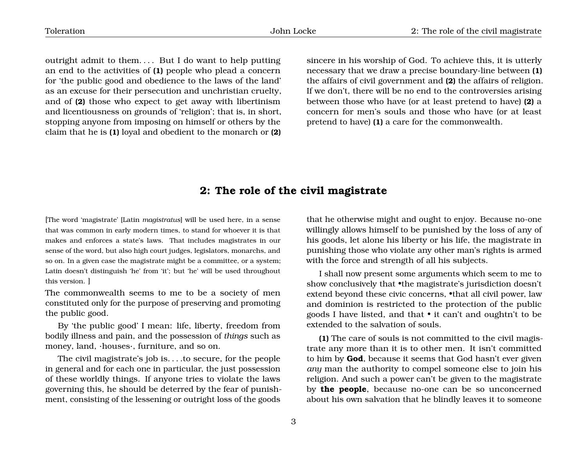outright admit to them.... But I do want to help putting an end to the activities of **(1)** people who plead a concern for 'the public good and obedience to the laws of the land' as an excuse for their persecution and unchristian cruelty, and of **(2)** those who expect to get away with libertinism and licentiousness on grounds of 'religion'; that is, in short, stopping anyone from imposing on himself or others by the claim that he is **(1)** loyal and obedient to the monarch or **(2)**

sincere in his worship of God. To achieve this, it is utterly necessary that we draw a precise boundary-line between **(1)** the affairs of civil government and **(2)** the affairs of religion. If we don't, there will be no end to the controversies arising between those who have (or at least pretend to have) **(2)** a concern for men's souls and those who have (or at least pretend to have) **(1)** a care for the commonwealth.

### <span id="page-4-0"></span>**2: The role of the civil magistrate**

[The word 'magistrate' [Latin *magistratus*] will be used here, in a sense that was common in early modern times, to stand for whoever it is that makes and enforces a state's laws. That includes magistrates in our sense of the word, but also high court judges, legislators, monarchs, and so on. In a given case the magistrate might be a committee, or a system; Latin doesn't distinguish 'he' from 'it'; but 'he' will be used throughout this version. ]

The commonwealth seems to me to be a society of men constituted only for the purpose of preserving and promoting the public good.

By 'the public good' I mean: life, liberty, freedom from bodily illness and pain, and the possession of *things* such as money, land, ·houses·, furniture, and so on.

The civil magistrate's job is. . . .to secure, for the people in general and for each one in particular, the just possession of these worldly things. If anyone tries to violate the laws governing this, he should be deterred by the fear of punishment, consisting of the lessening or outright loss of the goods

that he otherwise might and ought to enjoy. Because no-one willingly allows himself to be punished by the loss of any of his goods, let alone his liberty or his life, the magistrate in punishing those who violate any other man's rights is armed with the force and strength of all his subjects.

I shall now present some arguments which seem to me to show conclusively that •the magistrate's jurisdiction doesn't extend beyond these civic concerns, •that all civil power, law and dominion is restricted to the protection of the public goods I have listed, and that • it can't and oughtn't to be extended to the salvation of souls.

**(1)** The care of souls is not committed to the civil magistrate any more than it is to other men. It isn't committed to him by **God**, because it seems that God hasn't ever given *any* man the authority to compel someone else to join his religion. And such a power can't be given to the magistrate by **the people**, because no-one can be so unconcerned about his own salvation that he blindly leaves it to someone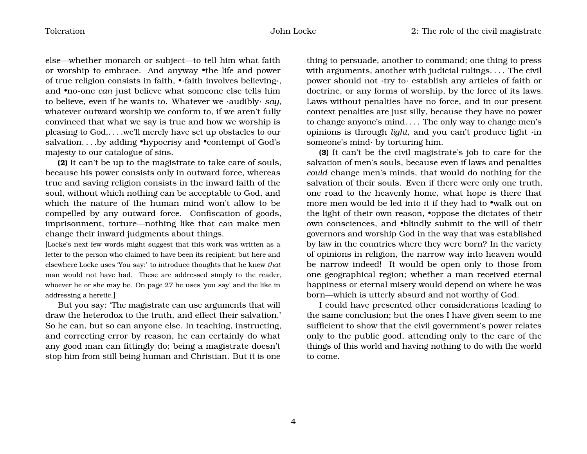else—whether monarch or subject—to tell him what faith or worship to embrace. And anyway •the life and power of true religion consists in faith, •·faith involves believing·, and •no-one *can* just believe what someone else tells him to believe, even if he wants to. Whatever we ·audibly· *say*, whatever outward worship we conform to, if we aren't fully convinced that what we say is true and how we worship is pleasing to God,. . . .we'll merely have set up obstacles to our salvation. . . .by adding •hypocrisy and •contempt of God's majesty to our catalogue of sins.

**(2)** It can't be up to the magistrate to take care of souls, because his power consists only in outward force, whereas true and saving religion consists in the inward faith of the soul, without which nothing can be acceptable to God, and which the nature of the human mind won't allow to be compelled by any outward force. Confiscation of goods, imprisonment, torture—nothing like that can make men change their inward judgments about things.

[Locke's next few words might suggest that this work was written as a letter to the person who claimed to have been its recipient; but here and elsewhere Locke uses 'You say:' to introduce thoughts that he knew *that* man would not have had. These are addressed simply to the reader, whoever he or she may be. On page [27](#page-27-0) he uses 'you say' and the like in addressing a heretic.]

But you say: 'The magistrate can use arguments that will draw the heterodox to the truth, and effect their salvation.' So he can, but so can anyone else. In teaching, instructing, and correcting error by reason, he can certainly do what any good man can fittingly do; being a magistrate doesn't stop him from still being human and Christian. But it is one thing to persuade, another to command; one thing to press with arguments, another with judicial rulings. . . . The civil power should not ·try to· establish any articles of faith or doctrine, or any forms of worship, by the force of its laws. Laws without penalties have no force, and in our present context penalties are just silly, because they have no power to change anyone's mind. . . . The only way to change men's opinions is through *light*, and you can't produce light ·in someone's mind· by torturing him.

**(3)** It can't be the civil magistrate's job to care for the salvation of men's souls, because even if laws and penalties *could* change men's minds, that would do nothing for the salvation of their souls. Even if there were only one truth, one road to the heavenly home, what hope is there that more men would be led into it if they had to •walk out on the light of their own reason, •oppose the dictates of their own consciences, and •blindly submit to the will of their governors and worship God in the way that was established by law in the countries where they were born? In the variety of opinions in religion, the narrow way into heaven would be narrow indeed! It would be open only to those from one geographical region; whether a man received eternal happiness or eternal misery would depend on where he was born—which is utterly absurd and not worthy of God.

I could have presented other considerations leading to the same conclusion; but the ones I have given seem to me sufficient to show that the civil government's power relates only to the public good, attending only to the care of the things of this world and having nothing to do with the world to come.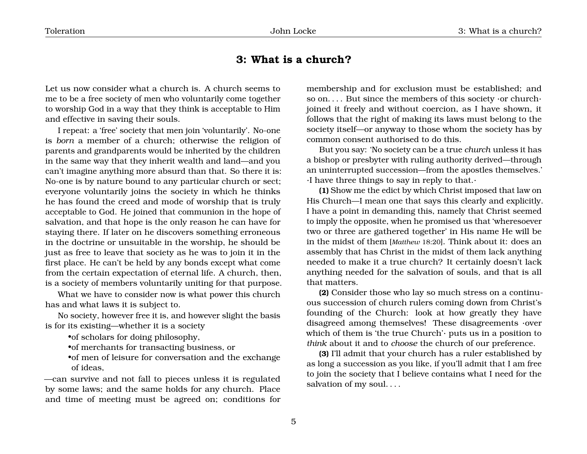## <span id="page-6-0"></span>**3: What is a church?**

Let us now consider what a church is. A church seems to me to be a free society of men who voluntarily come together to worship God in a way that they think is acceptable to Him and effective in saving their souls.

I repeat: a 'free' society that men join 'voluntarily'. No-one is *born* a member of a church; otherwise the religion of parents and grandparents would be inherited by the children in the same way that they inherit wealth and land—and you can't imagine anything more absurd than that. So there it is: No-one is by nature bound to any particular church or sect; everyone voluntarily joins the society in which he thinks he has found the creed and mode of worship that is truly acceptable to God. He joined that communion in the hope of salvation, and that hope is the only reason he can have for staying there. If later on he discovers something erroneous in the doctrine or unsuitable in the worship, he should be just as free to leave that society as he was to join it in the first place. He can't be held by any bonds except what come from the certain expectation of eternal life. A church, then, is a society of members voluntarily uniting for that purpose.

What we have to consider now is what power this church has and what laws it is subject to.

No society, however free it is, and however slight the basis is for its existing—whether it is a society

•of scholars for doing philosophy,

•of merchants for transacting business, or

•of men of leisure for conversation and the exchange of ideas,

—can survive and not fall to pieces unless it is regulated by some laws; and the same holds for any church. Place and time of meeting must be agreed on; conditions for membership and for exclusion must be established; and so on. . . . But since the members of this society  $\cdot$ or church $\cdot$ joined it freely and without coercion, as I have shown, it follows that the right of making its laws must belong to the society itself—or anyway to those whom the society has by common consent authorised to do this.

But you say: 'No society can be a true *church* unless it has a bishop or presbyter with ruling authority derived—through an uninterrupted succession—from the apostles themselves.' ·I have three things to say in reply to that.·

**(1)** Show me the edict by which Christ imposed that law on His Church—I mean one that says this clearly and explicitly. I have a point in demanding this, namely that Christ seemed to imply the opposite, when he promised us that 'wheresoever two or three are gathered together' in His name He will be in the midst of them [*Matthew* 18:20]. Think about it: does an assembly that has Christ in the midst of them lack anything needed to make it a true church? It certainly doesn't lack anything needed for the salvation of souls, and that is all that matters.

**(2)** Consider those who lay so much stress on a continuous succession of church rulers coming down from Christ's founding of the Church: look at how greatly they have disagreed among themselves! These disagreements ·over which of them is 'the true Church'· puts us in a position to *think* about it and to *choose* the church of our preference.

**(3)** I'll admit that your church has a ruler established by as long a succession as you like, if you'll admit that I am free to join the society that I believe contains what I need for the salvation of my soul....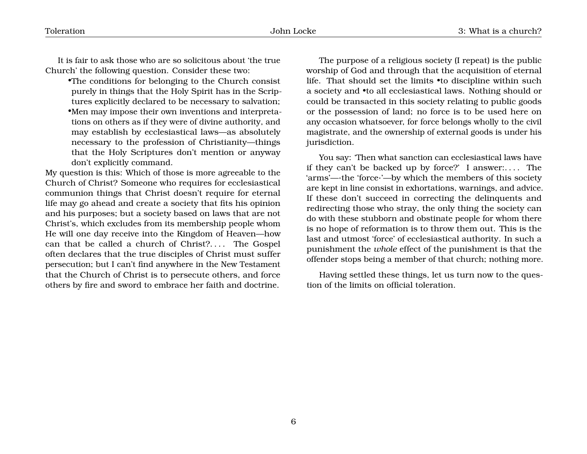It is fair to ask those who are so solicitous about 'the true Church' the following question. Consider these two:

•The conditions for belonging to the Church consist purely in things that the Holy Spirit has in the Scriptures explicitly declared to be necessary to salvation; •Men may impose their own inventions and interpretations on others as if they were of divine authority, and may establish by ecclesiastical laws—as absolutely necessary to the profession of Christianity—things that the Holy Scriptures don't mention or anyway don't explicitly command.

My question is this: Which of those is more agreeable to the Church of Christ? Someone who requires for ecclesiastical communion things that Christ doesn't require for eternal life may go ahead and create a society that fits his opinion and his purposes; but a society based on laws that are not Christ's, which excludes from its membership people whom He will one day receive into the Kingdom of Heaven—how can that be called a church of Christ?.... The Gospel often declares that the true disciples of Christ must suffer persecution; but I can't find anywhere in the New Testament that the Church of Christ is to persecute others, and force others by fire and sword to embrace her faith and doctrine.

The purpose of a religious society (I repeat) is the public worship of God and through that the acquisition of eternal life. That should set the limits •to discipline within such a society and •to all ecclesiastical laws. Nothing should or could be transacted in this society relating to public goods or the possession of land; no force is to be used here on any occasion whatsoever, for force belongs wholly to the civil magistrate, and the ownership of external goods is under his jurisdiction.

You say: 'Then what sanction can ecclesiastical laws have if they can't be backed up by force?' I answer:. . . . The 'arms'—·the 'force·'—by which the members of this society are kept in line consist in exhortations, warnings, and advice. If these don't succeed in correcting the delinquents and redirecting those who stray, the only thing the society can do with these stubborn and obstinate people for whom there is no hope of reformation is to throw them out. This is the last and utmost 'force' of ecclesiastical authority. In such a punishment the *whole* effect of the punishment is that the offender stops being a member of that church; nothing more.

Having settled these things, let us turn now to the question of the limits on official toleration.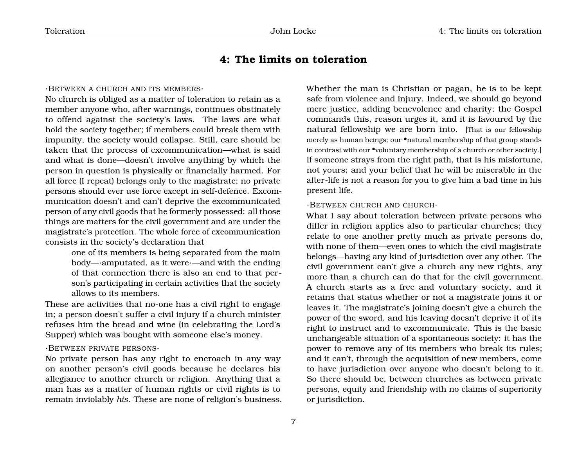# <span id="page-8-0"></span>**4: The limits on toleration**

#### ·BETWEEN A CHURCH AND ITS MEMBERS·

No church is obliged as a matter of toleration to retain as a member anyone who, after warnings, continues obstinately to offend against the society's laws. The laws are what hold the society together; if members could break them with impunity, the society would collapse. Still, care should be taken that the process of excommunication—what is said and what is done—doesn't involve anything by which the person in question is physically or financially harmed. For all force (I repeat) belongs only to the magistrate; no private persons should ever use force except in self-defence. Excommunication doesn't and can't deprive the excommunicated person of any civil goods that he formerly possessed: all those things are matters for the civil government and are under the magistrate's protection. The whole force of excommunication consists in the society's declaration that

> one of its members is being separated from the main body—·amputated, as it were·—and with the ending of that connection there is also an end to that person's participating in certain activities that the society allows to its members.

These are activities that no-one has a civil right to engage in; a person doesn't suffer a civil injury if a church minister refuses him the bread and wine (in celebrating the Lord's Supper) which was bought with someone else's money.

#### ·BETWEEN PRIVATE PERSONS·

No private person has any right to encroach in any way on another person's civil goods because he declares his allegiance to another church or religion. Anything that a man has as a matter of human rights or civil rights is to remain inviolably *his*. These are none of religion's business. Whether the man is Christian or pagan, he is to be kept safe from violence and injury. Indeed, we should go beyond mere justice, adding benevolence and charity; the Gospel commands this, reason urges it, and it is favoured by the natural fellowship we are born into. [That is our fellowship merely as human beings; our •natural membership of that group stands in contrast with our •voluntary membership of a church or other society.] If someone strays from the right path, that is his misfortune, not yours; and your belief that he will be miserable in the after-life is not a reason for you to give him a bad time in his present life.

#### ·BETWEEN CHURCH AND CHURCH·

What I say about toleration between private persons who differ in religion applies also to particular churches; they relate to one another pretty much as private persons do, with none of them—even ones to which the civil magistrate belongs—having any kind of jurisdiction over any other. The civil government can't give a church any new rights, any more than a church can do that for the civil government. A church starts as a free and voluntary society, and it retains that status whether or not a magistrate joins it or leaves it. The magistrate's joining doesn't give a church the power of the sword, and his leaving doesn't deprive it of its right to instruct and to excommunicate. This is the basic unchangeable situation of a spontaneous society: it has the power to remove any of its members who break its rules; and it can't, through the acquisition of new members, come to have jurisdiction over anyone who doesn't belong to it. So there should be, between churches as between private persons, equity and friendship with no claims of superiority or jurisdiction.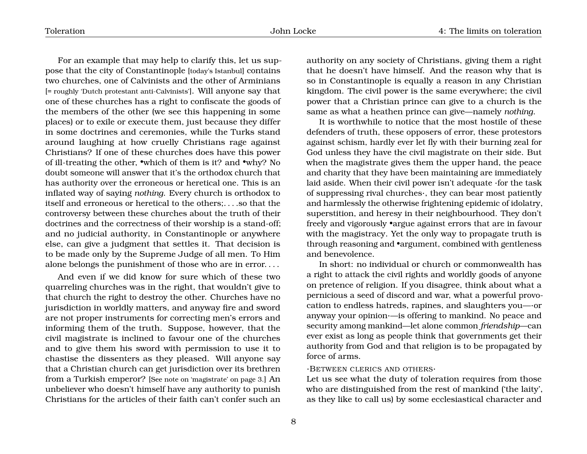For an example that may help to clarify this, let us suppose that the city of Constantinople [today's Istanbul] contains two churches, one of Calvinists and the other of Arminians [= roughly 'Dutch protestant anti-Calvinists']. Will anyone say that one of these churches has a right to confiscate the goods of the members of the other (we see this happening in some places) or to exile or execute them, just because they differ in some doctrines and ceremonies, while the Turks stand around laughing at how cruelly Christians rage against Christians? If one of these churches does have this power of ill-treating the other, •which of them is it? and •why? No doubt someone will answer that it's the orthodox church that has authority over the erroneous or heretical one. This is an inflated way of saying *nothing*. Every church is orthodox to itself and erroneous or heretical to the others;. . . .so that the controversy between these churches about the truth of their doctrines and the correctness of their worship is a stand-off; and no judicial authority, in Constantinople or anywhere else, can give a judgment that settles it. That decision is to be made only by the Supreme Judge of all men. To Him alone belongs the punishment of those who are in error. . . .

And even if we did know for sure which of these two quarreling churches was in the right, that wouldn't give to that church the right to destroy the other. Churches have no jurisdiction in worldly matters, and anyway fire and sword are not proper instruments for correcting men's errors and informing them of the truth. Suppose, however, that the civil magistrate is inclined to favour one of the churches and to give them his sword with permission to use it to chastise the dissenters as they pleased. Will anyone say that a Christian church can get jurisdiction over its brethren from a Turkish emperor? [See note on 'magistrate' on page [3.](#page-4-0)] An unbeliever who doesn't himself have any authority to punish Christians for the articles of their faith can't confer such an

authority on any society of Christians, giving them a right that he doesn't have himself. And the reason why that is so in Constantinople is equally a reason in any Christian kingdom. The civil power is the same everywhere; the civil power that a Christian prince can give to a church is the same as what a heathen prince can give—namely *nothing*.

It is worthwhile to notice that the most hostile of these defenders of truth, these opposers of error, these protestors against schism, hardly ever let fly with their burning zeal for God unless they have the civil magistrate on their side. But when the magistrate gives them the upper hand, the peace and charity that they have been maintaining are immediately laid aside. When their civil power isn't adequate ·for the task of suppressing rival churches·, they can bear most patiently and harmlessly the otherwise frightening epidemic of idolatry, superstition, and heresy in their neighbourhood. They don't freely and vigorously •argue against errors that are in favour with the magistracy. Yet the only way to propagate truth is through reasoning and •argument, combined with gentleness and benevolence.

In short: no individual or church or commonwealth has a right to attack the civil rights and worldly goods of anyone on pretence of religion. If you disagree, think about what a pernicious a seed of discord and war, what a powerful provocation to endless hatreds, rapines, and slaughters you—·or anyway your opinion·—is offering to mankind. No peace and security among mankind—let alone common *friendship*—can ever exist as long as people think that governments get their authority from God and that religion is to be propagated by force of arms.

#### ·BETWEEN CLERICS AND OTHERS·

Let us see what the duty of toleration requires from those who are distinguished from the rest of mankind ('the laity', as they like to call us) by some ecclesiastical character and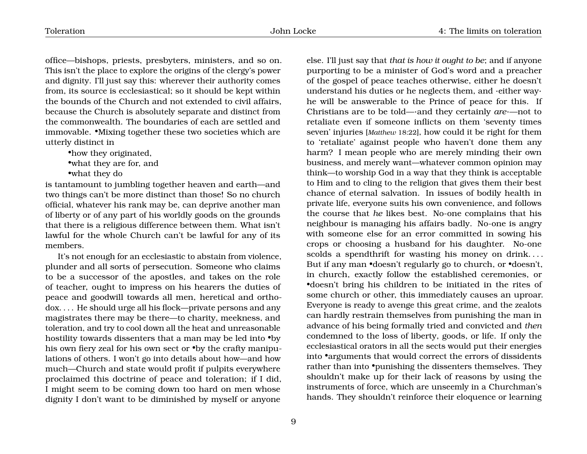office—bishops, priests, presbyters, ministers, and so on. This isn't the place to explore the origins of the clergy's power and dignity. I'll just say this: wherever their authority comes from, its source is ecclesiastical; so it should be kept within the bounds of the Church and not extended to civil affairs, because the Church is absolutely separate and distinct from the commonwealth. The boundaries of each are settled and immovable. •Mixing together these two societies which are utterly distinct in

•how they originated, •what they are for, and •what they do

is tantamount to jumbling together heaven and earth—and two things can't be more distinct than those! So no church official, whatever his rank may be, can deprive another man of liberty or of any part of his worldly goods on the grounds that there is a religious difference between them. What isn't lawful for the whole Church can't be lawful for any of its members.

It's not enough for an ecclesiastic to abstain from violence, plunder and all sorts of persecution. Someone who claims to be a successor of the apostles, and takes on the role of teacher, ought to impress on his hearers the duties of peace and goodwill towards all men, heretical and orthodox. . . . He should urge all his flock—private persons and any magistrates there may be there—to charity, meekness, and toleration, and try to cool down all the heat and unreasonable hostility towards dissenters that a man may be led into •by his own fiery zeal for his own sect or •by the crafty manipulations of others. I won't go into details about how—and how much—Church and state would profit if pulpits everywhere proclaimed this doctrine of peace and toleration; if I did, I might seem to be coming down too hard on men whose dignity I don't want to be diminished by myself or anyone

else. I'll just say that *that is how it ought to be*; and if anyone purporting to be a minister of God's word and a preacher of the gospel of peace teaches otherwise, either he doesn't understand his duties or he neglects them, and ·either way· he will be answerable to the Prince of peace for this. If Christians are to be told—·and they certainly *are*·—not to retaliate even if someone inflicts on them 'seventy times seven' injuries [*Matthew* 18:22], how could it be right for them to 'retaliate' against people who haven't done them any harm? I mean people who are merely minding their own business, and merely want—whatever common opinion may think—to worship God in a way that they think is acceptable to Him and to cling to the religion that gives them their best chance of eternal salvation. In issues of bodily health in private life, everyone suits his own convenience, and follows the course that *he* likes best. No-one complains that his neighbour is managing his affairs badly. No-one is angry with someone else for an error committed in sowing his crops or choosing a husband for his daughter. No-one scolds a spendthrift for wasting his money on drink.... But if any man •doesn't regularly go to church, or •doesn't, in church, exactly follow the established ceremonies, or •doesn't bring his children to be initiated in the rites of some church or other, this immediately causes an uproar. Everyone is ready to avenge this great crime, and the zealots can hardly restrain themselves from punishing the man in advance of his being formally tried and convicted and *then* condemned to the loss of liberty, goods, or life. If only the ecclesiastical orators in all the sects would put their energies into •arguments that would correct the errors of dissidents rather than into •punishing the dissenters themselves. They shouldn't make up for their lack of reasons by using the instruments of force, which are unseemly in a Churchman's hands. They shouldn't reinforce their eloquence or learning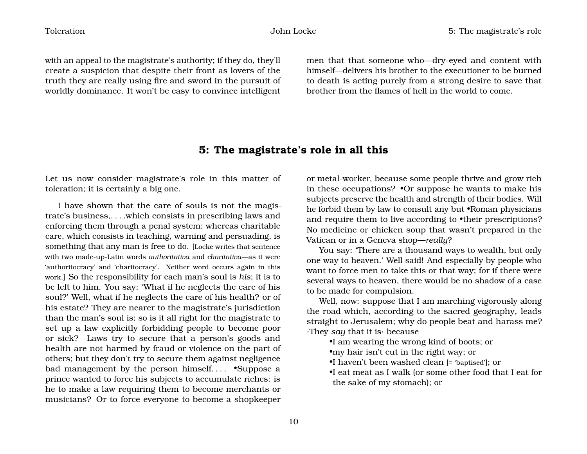with an appeal to the magistrate's authority; if they do, they'll create a suspicion that despite their front as lovers of the truth they are really using fire and sword in the pursuit of worldly dominance. It won't be easy to convince intelligent men that that someone who—dry-eyed and content with himself—delivers his brother to the executioner to be burned to death is acting purely from a strong desire to save that brother from the flames of hell in the world to come.

#### <span id="page-11-0"></span>**5: The magistrate's role in all this**

Let us now consider magistrate's role in this matter of toleration; it is certainly a big one.

I have shown that the care of souls is not the magistrate's business,. . . .which consists in prescribing laws and enforcing them through a penal system; whereas charitable care, which consists in teaching, warning and persuading, is something that any man is free to do. [Locke writes that sentence with two made-up-Latin words *authoritativa* and *charitativa*—as it were 'authoritocracy' and 'charitocracy'. Neither word occurs again in this work.] So the responsibility for each man's soul is *his*; it is to be left to him. You say: 'What if he neglects the care of his soul?' Well, what if he neglects the care of his health? or of his estate? They are nearer to the magistrate's jurisdiction than the man's soul is; so is it all right for the magistrate to set up a law explicitly forbidding people to become poor or sick? Laws try to secure that a person's goods and health are not harmed by fraud or violence on the part of others; but they don't try to secure them against negligence bad management by the person himself.... •Suppose a prince wanted to force his subjects to accumulate riches: is he to make a law requiring them to become merchants or musicians? Or to force everyone to become a shopkeeper

or metal-worker, because some people thrive and grow rich in these occupations? •Or suppose he wants to make his subjects preserve the health and strength of their bodies. Will he forbid them by law to consult any but •Roman physicians and require them to live according to •their prescriptions? No medicine or chicken soup that wasn't prepared in the Vatican or in a Geneva shop—*really*?

You say: 'There are a thousand ways to wealth, but only one way to heaven.' Well said! And especially by people who want to force men to take this or that way; for if there were several ways to heaven, there would be no shadow of a case to be made for compulsion.

Well, now: suppose that I am marching vigorously along the road which, according to the sacred geography, leads straight to Jerusalem; why do people beat and harass me? ·They *say* that it is· because

•I am wearing the wrong kind of boots; or

•my hair isn't cut in the right way; or

•I haven't been washed clean [= 'baptised']; or

•I eat meat as I walk (or some other food that I eat for the sake of my stomach); or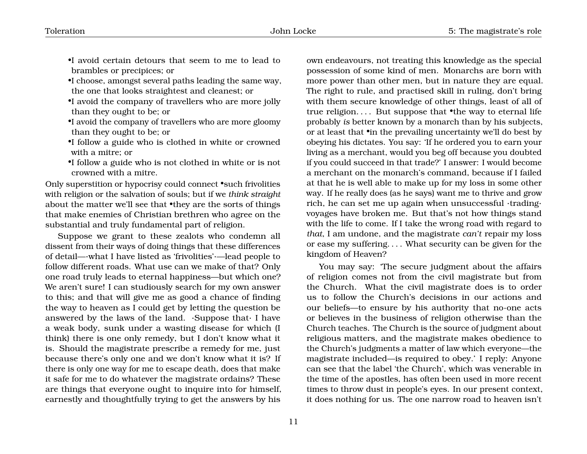- •I avoid certain detours that seem to me to lead to brambles or precipices; or
- •I choose, amongst several paths leading the same way, the one that looks straightest and cleanest; or
- •I avoid the company of travellers who are more jolly than they ought to be; or
- •I avoid the company of travellers who are more gloomy than they ought to be; or
- •I follow a guide who is clothed in white or crowned with a mitre; or
- •I follow a guide who is not clothed in white or is not crowned with a mitre.

Only superstition or hypocrisy could connect •such frivolities with religion or the salvation of souls; but if we *think straight* about the matter we'll see that •they are the sorts of things that make enemies of Christian brethren who agree on the substantial and truly fundamental part of religion.

Suppose we grant to these zealots who condemn all dissent from their ways of doing things that these differences of detail—·what I have listed as 'frivolities'·—lead people to follow different roads. What use can we make of that? Only one road truly leads to eternal happiness—but which one? We aren't sure! I can studiously search for my own answer to this; and that will give me as good a chance of finding the way to heaven as I could get by letting the question be answered by the laws of the land.  $\cdot$ Suppose that $\cdot$  I have a weak body, sunk under a wasting disease for which (I think) there is one only remedy, but I don't know what it is. Should the magistrate prescribe a remedy for me, just because there's only one and we don't know what it is? If there is only one way for me to escape death, does that make it safe for me to do whatever the magistrate ordains? These are things that everyone ought to inquire into for himself, earnestly and thoughtfully trying to get the answers by his

own endeavours, not treating this knowledge as the special possession of some kind of men. Monarchs are born with more power than other men, but in nature they are equal. The right to rule, and practised skill in ruling, don't bring with them secure knowledge of other things, least of all of true religion.... But suppose that •the way to eternal life probably *is* better known by a monarch than by his subjects, or at least that •in the prevailing uncertainty we'll do best by obeying his dictates. You say: 'If he ordered you to earn your living as a merchant, would you beg off because you doubted if you could succeed in that trade?' I answer: I would become a merchant on the monarch's command, because if I failed at that he is well able to make up for my loss in some other way. If he really does (as he says) want me to thrive and grow rich, he can set me up again when unsuccessful ·trading· voyages have broken me. But that's not how things stand with the life to come. If I take the wrong road with regard to *that*, I am undone, and the magistrate *can't* repair my loss or ease my suffering. . . . What security can be given for the kingdom of Heaven?

You may say: 'The secure judgment about the affairs of religion comes not from the civil magistrate but from the Church. What the civil magistrate does is to order us to follow the Church's decisions in our actions and our beliefs—to ensure by his authority that no-one acts or believes in the business of religion otherwise than the Church teaches. The Church is the source of judgment about religious matters, and the magistrate makes obedience to the Church's judgments a matter of law which everyone—the magistrate included—is required to obey.' I reply: Anyone can see that the label 'the Church', which was venerable in the time of the apostles, has often been used in more recent times to throw dust in people's eyes. In our present context, it does nothing for us. The one narrow road to heaven isn't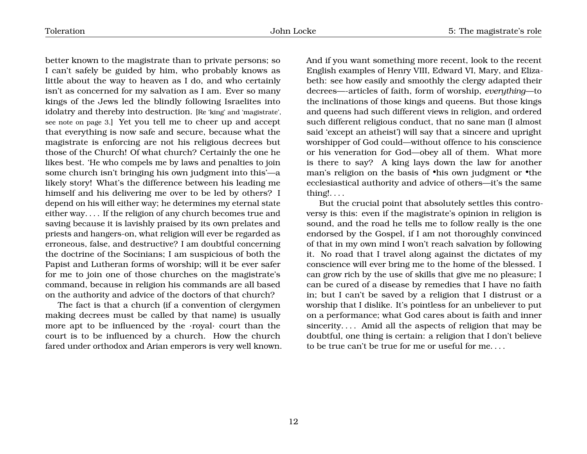better known to the magistrate than to private persons; so I can't safely be guided by him, who probably knows as little about the way to heaven as I do, and who certainly isn't as concerned for my salvation as I am. Ever so many kings of the Jews led the blindly following Israelites into idolatry and thereby into destruction. [Re 'king' and 'magistrate', see note on page [3.](#page-4-0)] Yet you tell me to cheer up and accept that everything is now safe and secure, because what the magistrate is enforcing are not his religious decrees but those of the Church! Of what church? Certainly the one he likes best. 'He who compels me by laws and penalties to join some church isn't bringing his own judgment into this'—a likely story! What's the difference between his leading me himself and his delivering me over to be led by others? I depend on his will either way; he determines my eternal state either way. . . . If the religion of any church becomes true and saving because it is lavishly praised by its own prelates and priests and hangers-on, what religion will ever be regarded as erroneous, false, and destructive? I am doubtful concerning the doctrine of the Socinians; I am suspicious of both the Papist and Lutheran forms of worship; will it be ever safer for me to join one of those churches on the magistrate's command, because in religion his commands are all based on the authority and advice of the doctors of that church?

The fact is that a church (if a convention of clergymen making decrees must be called by that name) is usually more apt to be influenced by the ·royal· court than the court is to be influenced by a church. How the church fared under orthodox and Arian emperors is very well known. And if you want something more recent, look to the recent English examples of Henry VIII, Edward VI, Mary, and Elizabeth: see how easily and smoothly the clergy adapted their decrees—-articles of faith, form of worship, *everything*—to the inclinations of those kings and queens. But those kings and queens had such different views in religion, and ordered such different religious conduct, that no sane man (I almost said 'except an atheist') will say that a sincere and upright worshipper of God could—without offence to his conscience or his veneration for God—obey all of them. What more is there to say? A king lays down the law for another man's religion on the basis of •his own judgment or •the ecclesiastical authority and advice of others—it's the same thing!. . . .

But the crucial point that absolutely settles this controversy is this: even if the magistrate's opinion in religion is sound, and the road he tells me to follow really is the one endorsed by the Gospel, if I am not thoroughly convinced of that in my own mind I won't reach salvation by following it. No road that I travel along against the dictates of my conscience will ever bring me to the home of the blessed. I can grow rich by the use of skills that give me no pleasure; I can be cured of a disease by remedies that I have no faith in; but I can't be saved by a religion that I distrust or a worship that I dislike. It's pointless for an unbeliever to put on a performance; what God cares about is faith and inner sincerity.... Amid all the aspects of religion that may be doubtful, one thing is certain: a religion that I don't believe to be true can't be true for me or useful for me. . . .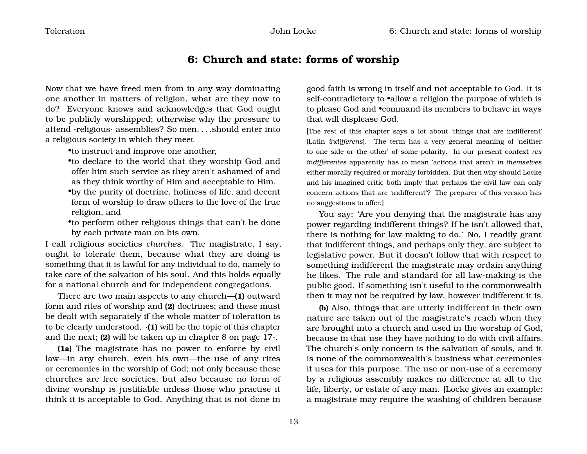### <span id="page-14-0"></span>**6: Church and state: forms of worship**

Now that we have freed men from in any way dominating one another in matters of religion, what are they now to do? Everyone knows and acknowledges that God ought to be publicly worshipped; otherwise why the pressure to attend ·religious· assemblies? So men. . . .should enter into a religious society in which they meet

•to instruct and improve one another,

•to declare to the world that they worship God and offer him such service as they aren't ashamed of and as they think worthy of Him and acceptable to Him,

•by the purity of doctrine, holiness of life, and decent form of worship to draw others to the love of the true religion, and

•to perform other religious things that can't be done by each private man on his own.

I call religious societies *churches*. The magistrate, I say, ought to tolerate them, because what they are doing is something that it is lawful for any individual to do, namely to take care of the salvation of his soul. And this holds equally for a national church and for independent congregations.

There are two main aspects to any church—**(1)** outward form and rites of worship and **(2)** doctrines; and these must be dealt with separately if the whole matter of toleration is to be clearly understood. ·**(1)** will be the topic of this chapter and the next; **(2)** will be taken up in chapter 8 on page [17](#page-18-0)·.

**(1a)** The magistrate has no power to enforce by civil law—in any church, even his own—the use of any rites or ceremonies in the worship of God; not only because these churches are free societies, but also because no form of divine worship is justifiable unless those who practise it think it is acceptable to God. Anything that is not done in good faith is wrong in itself and not acceptable to God. It is self-contradictory to •allow a religion the purpose of which is to please God and •command its members to behave in ways that will displease God.

[The rest of this chapter says a lot about 'things that are indifferent' (Latin *indifferens*). The term has a very general meaning of 'neither to one side or the other' of some polarity. In our present context *res indifferentes* apparently has to mean 'actions that aren't *in themselves* either morally required or morally forbidden. But then why should Locke and his imagined critic both imply that perhaps the civil law can only concern actions that are 'indifferent'? The preparer of this version has no suggestions to offer.]

You say: 'Are you denying that the magistrate has any power regarding indifferent things? If he isn't allowed that, there is nothing for law-making to do.' No, I readily grant that indifferent things, and perhaps only they, are subject to legislative power. But it doesn't follow that with respect to something indifferent the magistrate may ordain anything he likes. The rule and standard for all law-making is the public good. If something isn't useful to the commonwealth then it may not be required by law, however indifferent it is.

**(b)** Also, things that are utterly indifferent in their own nature are taken out of the magistrate's reach when they are brought into a church and used in the worship of God, because in that use they have nothing to do with civil affairs. The church's only concern is the salvation of souls, and it is none of the commonwealth's business what ceremonies it uses for this purpose. The use or non-use of a ceremony by a religious assembly makes no difference at all to the life, liberty, or estate of any man. [Locke gives an example: a magistrate may require the washing of children because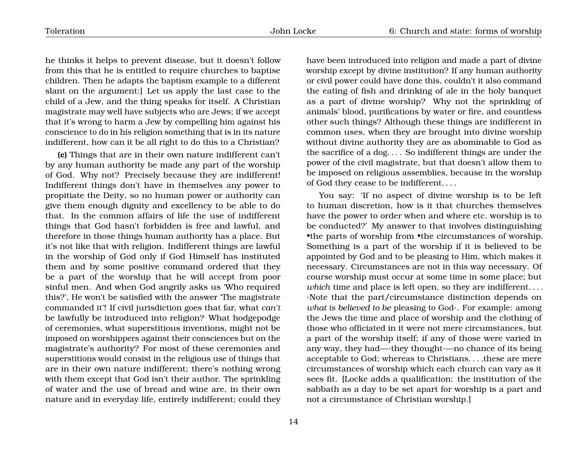he thinks it helps to prevent disease, but it doesn't follow from this that he is entitled to require churches to baptise children. Then he adapts the baptism example to a different slant on the argument:] Let us apply the last case to the child of a Jew, and the thing speaks for itself. A Christian magistrate may well have subjects who are Jews; if we accept that it's wrong to harm a Jew by compelling him against his conscience to do in his religion something that is in its nature indifferent, how can it be all right to do this to a Christian?

**(c)** Things that are in their own nature indifferent can't by any human authority be made any part of the worship of God. Why not? Precisely because they are indifferent! Indifferent things don't have in themselves any power to propitiate the Deity, so no human power or authority can give them enough dignity and excellency to be able to do that. In the common affairs of life the use of indifferent things that God hasn't forbidden is free and lawful, and therefore in those things human authority has a place. But it's not like that with religion. Indifferent things are lawful in the worship of God only if God Himself has instituted them and by some positive command ordered that they be a part of the worship that he will accept from poor sinful men. And when God angrily asks us 'Who required this?', He won't be satisfied with the answer 'The magistrate commanded it'! If civil jurisdiction goes that far, what *can't* be lawfully be introduced into religion? What hodgepodge of ceremonies, what superstitious inventions, might not be imposed on worshippers against their consciences but on the magistrate's authority? For most of these ceremonies and superstitions would consist in the religious use of things that are in their own nature indifferent; there's nothing wrong with them except that God isn't their author. The sprinkling of water and the use of bread and wine are, in their own nature and in everyday life, entirely indifferent; could they

have been introduced into religion and made a part of divine worship except by divine institution? If any human authority or civil power could have done this, couldn't it also command the eating of fish and drinking of ale in the holy banquet as a part of divine worship? Why not the sprinkling of animals' blood, purifications by water or fire, and countless other such things? Although these things are indifferent in common uses, when they are brought into divine worship without divine authority they are as abominable to God as the sacrifice of a dog. . . . So indifferent things are under the power of the civil magistrate, but that doesn't allow them to be imposed on religious assemblies, because in the worship of God they cease to be indifferent. . . .

You say: 'If no aspect of divine worship is to be left to human discretion, how is it that churches themselves have the power to order when and where etc. worship is to be conducted?' My answer to that involves distinguishing •the parts of worship from •the circumstances of worship. Something is a part of the worship if it is believed to be appointed by God and to be pleasing to Him, which makes it necessary. Circumstances are not in this way necessary. Of course worship must occur at some time in some place; but *which* time and place is left open, so they are indifferent. . . . ·Note that the part/circumstance distinction depends on *what is believed to be* pleasing to God·. For example: among the Jews the time and place of worship and the clothing of those who officiated in it were not mere circumstances, but a part of the worship itself; if any of those were varied in any way, they had—·they thought·—no chance of its being acceptable to God; whereas to Christians. . . .these are mere circumstances of worship which each church can vary as it sees fit. [Locke adds a qualification: the institution of the sabbath as a day to be set apart for worship is a part and not a circumstance of Christian worship.]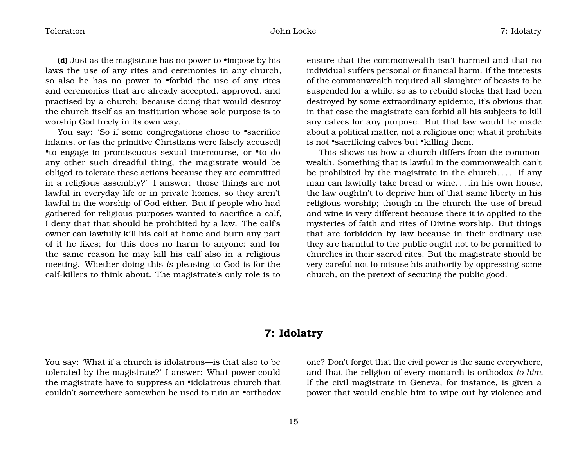**(d)** Just as the magistrate has no power to •impose by his laws the use of any rites and ceremonies in any church, so also he has no power to •forbid the use of any rites and ceremonies that are already accepted, approved, and practised by a church; because doing that would destroy the church itself as an institution whose sole purpose is to worship God freely in its own way.

You say: 'So if some congregations chose to "sacrifice" infants, or (as the primitive Christians were falsely accused) •to engage in promiscuous sexual intercourse, or •to do any other such dreadful thing, the magistrate would be obliged to tolerate these actions because they are committed in a religious assembly?' I answer: those things are not lawful in everyday life or in private homes, so they aren't lawful in the worship of God either. But if people who had gathered for religious purposes wanted to sacrifice a calf, I deny that that should be prohibited by a law. The calf's owner can lawfully kill his calf at home and burn any part of it he likes; for this does no harm to anyone; and for the same reason he may kill his calf also in a religious meeting. Whether doing this *is* pleasing to God is for the calf-killers to think about. The magistrate's only role is to

ensure that the commonwealth isn't harmed and that no individual suffers personal or financial harm. If the interests of the commonwealth required all slaughter of beasts to be suspended for a while, so as to rebuild stocks that had been destroyed by some extraordinary epidemic, it's obvious that in that case the magistrate can forbid all his subjects to kill any calves for any purpose. But that law would be made about a political matter, not a religious one; what it prohibits is not •sacrificing calves but •killing them.

This shows us how a church differs from the commonwealth. Something that is lawful in the commonwealth can't be prohibited by the magistrate in the church. . . . If any man can lawfully take bread or wine. . . .in his own house, the law oughtn't to deprive him of that same liberty in his religious worship; though in the church the use of bread and wine is very different because there it is applied to the mysteries of faith and rites of Divine worship. But things that are forbidden by law because in their ordinary use they are harmful to the public ought not to be permitted to churches in their sacred rites. But the magistrate should be very careful not to misuse his authority by oppressing some church, on the pretext of securing the public good.

## <span id="page-16-0"></span>**7: Idolatry**

You say: 'What if a church is idolatrous—is that also to be tolerated by the magistrate?' I answer: What power could the magistrate have to suppress an •idolatrous church that couldn't somewhere somewhen be used to ruin an •orthodox

one? Don't forget that the civil power is the same everywhere, and that the religion of every monarch is orthodox *to him*. If the civil magistrate in Geneva, for instance, is given a power that would enable him to wipe out by violence and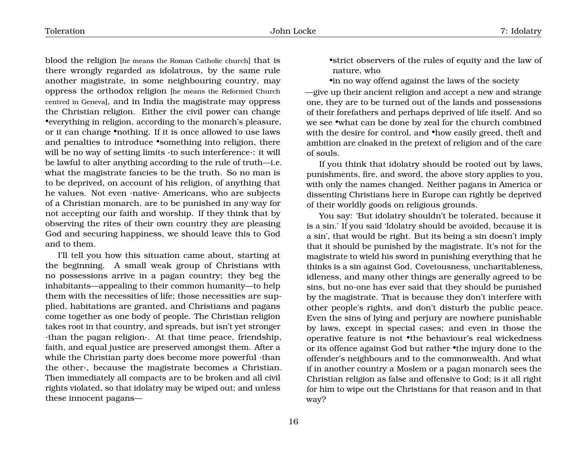Toleration John Locke 7: Idolatry

blood the religion [he means the Roman Catholic church] that is there wrongly regarded as idolatrous, by the same rule another magistrate, in some neighbouring country, may oppress the orthodox religion [he means the Reformed Church centred in Geneva], and in India the magistrate may oppress the Christian religion. Either the civil power can change •everything in religion, according to the monarch's pleasure, or it can change •nothing. If it is once allowed to use laws and penalties to introduce •something into religion, there will be no way of setting limits ·to such interference·: it will be lawful to alter anything according to the rule of truth—i.e. what the magistrate fancies to be the truth. So no man is to be deprived, on account of his religion, of anything that he values. Not even ·native· Americans, who are subjects of a Christian monarch, are to be punished in any way for not accepting our faith and worship. If they think that by observing the rites of their own country they are pleasing God and securing happiness, we should leave this to God and to them.

I'll tell you how this situation came about, starting at the beginning. A small weak group of Christians with no possessions arrive in a pagan country; they beg the inhabitants—appealing to their common humanity—to help them with the necessities of life; those necessities are supplied, habitations are granted, and Christians and pagans come together as one body of people. The Christian religion takes root in that country, and spreads, but isn't yet stronger ·than the pagan religion·. At that time peace, friendship, faith, and equal justice are preserved amongst them. After a while the Christian party does become more powerful ·than the other·, because the magistrate becomes a Christian. Then immediately all compacts are to be broken and all civil rights violated, so that idolatry may be wiped out; and unless these innocent pagans•strict observers of the rules of equity and the law of nature, who

•in no way offend against the laws of the society —give up their ancient religion and accept a new and strange one, they are to be turned out of the lands and possessions of their forefathers and perhaps deprived of life itself. And so we see •what can be done by zeal for the church combined with the desire for control, and •how easily greed, theft and ambition are cloaked in the pretext of religion and of the care of souls.

If you think that idolatry should be rooted out by laws, punishments, fire, and sword, the above story applies to you, with only the names changed. Neither pagans in America or dissenting Christians here in Europe can rightly be deprived of their worldly goods on religious grounds.

You say: 'But idolatry shouldn't be tolerated, because it is a sin.' If you said 'Idolatry should be avoided, because it is a sin', that would be right. But its being a sin doesn't imply that it should be punished by the magistrate. It's not for the magistrate to wield his sword in punishing everything that he thinks is a sin against God. Covetousness, uncharitableness, idleness, and many other things are generally agreed to be sins, but no-one has ever said that they should be punished by the magistrate. That is because they don't interfere with other people's rights, and don't disturb the public peace. Even the sins of lying and perjury are nowhere punishable by laws, except in special cases; and even in those the operative feature is not •the behaviour's real wickedness or its offence against God but rather •the injury done to the offender's neighbours and to the commonwealth. And what if in another country a Moslem or a pagan monarch sees the Christian religion as false and offensive to God; is it all right for him to wipe out the Christians for that reason and in that way?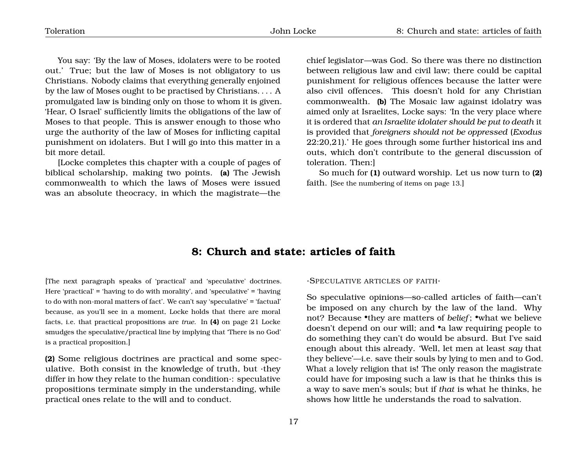You say: 'By the law of Moses, idolaters were to be rooted out.' True; but the law of Moses is not obligatory to us Christians. Nobody claims that everything generally enjoined by the law of Moses ought to be practised by Christians. . . . A promulgated law is binding only on those to whom it is given. 'Hear, O Israel' sufficiently limits the obligations of the law of Moses to that people. This is answer enough to those who urge the authority of the law of Moses for inflicting capital punishment on idolaters. But I will go into this matter in a bit more detail.

[Locke completes this chapter with a couple of pages of biblical scholarship, making two points. **(a)** The Jewish commonwealth to which the laws of Moses were issued was an absolute theocracy, in which the magistrate—the chief legislator—was God. So there was there no distinction between religious law and civil law; there could be capital punishment for religious offences because the latter were also civil offences. This doesn't hold for any Christian commonwealth. **(b)** The Mosaic law against idolatry was aimed only at Israelites, Locke says: 'In the very place where it is ordered that *an Israelite idolater should be put to death* it is provided that *foreigners should not be oppressed* (*Exodus* 22:20,21).' He goes through some further historical ins and outs, which don't contribute to the general discussion of toleration. Then:]

So much for **(1)** outward worship. Let us now turn to **(2)** faith. [See the numbering of items on page [13.](#page-14-0)]

## <span id="page-18-0"></span>**8: Church and state: articles of faith**

[The next paragraph speaks of 'practical' and 'speculative' doctrines. Here 'practical' = 'having to do with morality', and 'speculative' = 'having to do with non-moral matters of fact'. We can't say 'speculative' = 'factual' because, as you'll see in a moment, Locke holds that there are moral facts, i.e. that practical propositions are *true*. In **(4)** on page [21](#page-21-0) Locke smudges the speculative/practical line by implying that 'There is no God' is a practical proposition.]

**(2)** Some religious doctrines are practical and some speculative. Both consist in the knowledge of truth, but ·they differ in how they relate to the human condition·: speculative propositions terminate simply in the understanding, while practical ones relate to the will and to conduct.

#### ·SPECULATIVE AR TICLES OF FAITH·

So speculative opinions—so-called articles of faith—can't be imposed on any church by the law of the land. Why not? Because •they are matters of *belief* ; •what we believe doesn't depend on our will; and •a law requiring people to do something they can't do would be absurd. But I've said enough about this already. 'Well, let men at least *say* that they believe'—i.e. save their souls by lying to men and to God. What a lovely religion that is! The only reason the magistrate could have for imposing such a law is that he thinks this is a way to save men's souls; but if *that* is what he thinks, he shows how little he understands the road to salvation.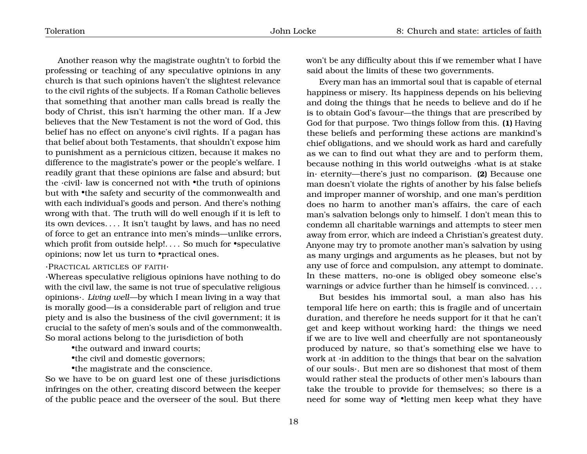Another reason why the magistrate oughtn't to forbid the professing or teaching of any speculative opinions in any church is that such opinions haven't the slightest relevance to the civil rights of the subjects. If a Roman Catholic believes that something that another man calls bread is really the body of Christ, this isn't harming the other man. If a Jew believes that the New Testament is not the word of God, this belief has no effect on anyone's civil rights. If a pagan has that belief about both Testaments, that shouldn't expose him to punishment as a pernicious citizen, because it makes no difference to the magistrate's power or the people's welfare. I readily grant that these opinions are false and absurd; but the ·civil· law is concerned not with •the truth of opinions but with •the safety and security of the commonwealth and with each individual's goods and person. And there's nothing wrong with that. The truth will do well enough if it is left to its own devices. . . . It isn't taught by laws, and has no need of force to get an entrance into men's minds—unlike errors, which profit from outside help!.... So much for •speculative

#### ·PRACTICAL AR TICLES OF FAITH·

·Whereas speculative religious opinions have nothing to do with the civil law, the same is not true of speculative religious opinions·. *Living well*—by which I mean living in a way that is morally good—is a considerable part of religion and true piety and is also the business of the civil government; it is crucial to the safety of men's souls and of the commonwealth. So moral actions belong to the jurisdiction of both

•the outward and inward courts;

opinions; now let us turn to •practical ones.

•the civil and domestic governors;

•the magistrate and the conscience.

So we have to be on guard lest one of these jurisdictions infringes on the other, creating discord between the keeper of the public peace and the overseer of the soul. But there

won't be any difficulty about this if we remember what I have said about the limits of these two governments.

Every man has an immortal soul that is capable of eternal happiness or misery. Its happiness depends on his believing and doing the things that he needs to believe and do if he is to obtain God's favour—the things that are prescribed by God for that purpose. Two things follow from this. **(1)** Having these beliefs and performing these actions are mankind's chief obligations, and we should work as hard and carefully as we can to find out what they are and to perform them, because nothing in this world outweighs ·what is at stake in· eternity—there's just no comparison. **(2)** Because one man doesn't violate the rights of another by his false beliefs and improper manner of worship, and one man's perdition does no harm to another man's affairs, the care of each man's salvation belongs only to himself. I don't mean this to condemn all charitable warnings and attempts to steer men away from error, which are indeed a Christian's greatest duty. Anyone may try to promote another man's salvation by using as many urgings and arguments as he pleases, but not by any use of force and compulsion, any attempt to dominate. In these matters, no-one is obliged obey someone else's warnings or advice further than he himself is convinced. . . .

But besides his immortal soul, a man also has his temporal life here on earth; this is fragile and of uncertain duration, and therefore he needs support for it that he can't get and keep without working hard: the things we need if we are to live well and cheerfully are not spontaneously produced by nature, so that's something else we have to work at ·in addition to the things that bear on the salvation of our souls·. But men are so dishonest that most of them would rather steal the products of other men's labours than take the trouble to provide for themselves; so there is a need for some way of •letting men keep what they have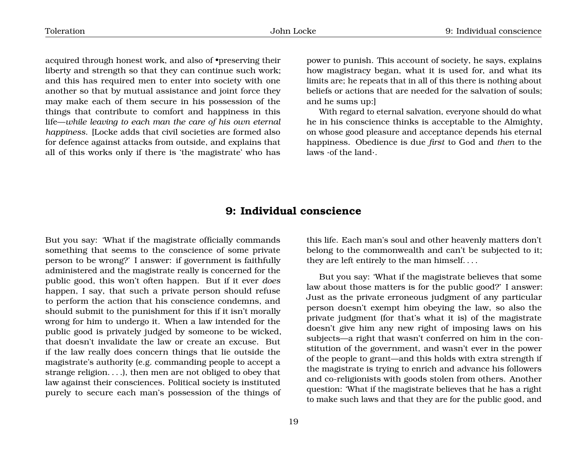acquired through honest work, and also of •preserving their liberty and strength so that they can continue such work; and this has required men to enter into society with one another so that by mutual assistance and joint force they may make each of them secure in his possession of the things that contribute to comfort and happiness in this life—*while leaving to each man the care of his own eternal happiness*. [Locke adds that civil societies are formed also for defence against attacks from outside, and explains that all of this works only if there is 'the magistrate' who has

power to punish. This account of society, he says, explains how magistracy began, what it is used for, and what its limits are; he repeats that in all of this there is nothing about beliefs or actions that are needed for the salvation of souls; and he sums up:]

With regard to eternal salvation, everyone should do what he in his conscience thinks is acceptable to the Almighty, on whose good pleasure and acceptance depends his eternal happiness. Obedience is due *first* to God and *then* to the laws ·of the land·.

# <span id="page-20-0"></span>**9: Individual conscience**

But you say: 'What if the magistrate officially commands something that seems to the conscience of some private person to be wrong?' I answer: if government is faithfully administered and the magistrate really is concerned for the public good, this won't often happen. But if it ever *does* happen, I say, that such a private person should refuse to perform the action that his conscience condemns, and should submit to the punishment for this if it isn't morally wrong for him to undergo it. When a law intended for the public good is privately judged by someone to be wicked, that doesn't invalidate the law or create an excuse. But if the law really does concern things that lie outside the magistrate's authority (e.g. commanding people to accept a strange religion. . . .), then men are not obliged to obey that law against their consciences. Political society is instituted purely to secure each man's possession of the things of

this life. Each man's soul and other heavenly matters don't belong to the commonwealth and can't be subjected to it; they are left entirely to the man himself. . . .

But you say: 'What if the magistrate believes that some law about those matters is for the public good?' I answer: Just as the private erroneous judgment of any particular person doesn't exempt him obeying the law, so also the private judgment (for that's what it is) of the magistrate doesn't give him any new right of imposing laws on his subjects—a right that wasn't conferred on him in the constitution of the government, and wasn't ever in the power of the people to grant—and this holds with extra strength if the magistrate is trying to enrich and advance his followers and co-religionists with goods stolen from others. Another question: 'What if the magistrate believes that he has a right to make such laws and that they are for the public good, and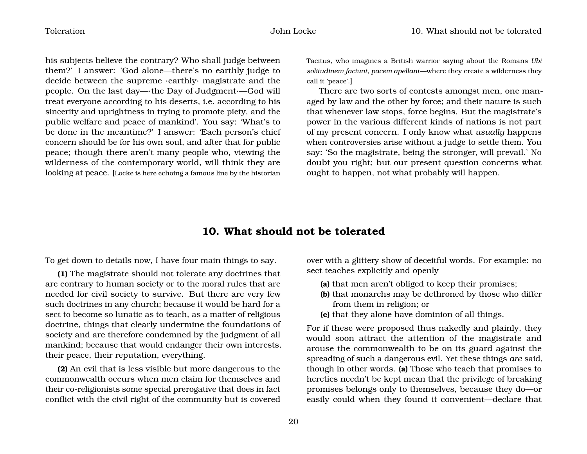his subjects believe the contrary? Who shall judge between them?' I answer: 'God alone—there's no earthly judge to decide between the supreme ·earthly· magistrate and the people. On the last day—·the Day of Judgment·—God will treat everyone according to his deserts, i.e. according to his sincerity and uprightness in trying to promote piety, and the public welfare and peace of mankind'. You say: 'What's to be done in the meantime?' I answer: 'Each person's chief concern should be for his own soul, and after that for public peace; though there aren't many people who, viewing the wilderness of the contemporary world, will think they are looking at peace. [Locke is here echoing a famous line by the historian Tacitus, who imagines a British warrior saying about the Romans *Ubi solitudinem faciunt, pacem apellant*—where they create a wilderness they call it 'peace'.]

There are two sorts of contests amongst men, one managed by law and the other by force; and their nature is such that whenever law stops, force begins. But the magistrate's power in the various different kinds of nations is not part of my present concern. I only know what *usually* happens when controversies arise without a judge to settle them. You say: 'So the magistrate, being the stronger, will prevail.' No doubt you right; but our present question concerns what ought to happen, not what probably will happen.

### <span id="page-21-0"></span>**10. What should not be tolerated**

To get down to details now, I have four main things to say.

**(1)** The magistrate should not tolerate any doctrines that are contrary to human society or to the moral rules that are needed for civil society to survive. But there are very few such doctrines in any church; because it would be hard for a sect to become so lunatic as to teach, as a matter of religious doctrine, things that clearly undermine the foundations of society and are therefore condemned by the judgment of all mankind; because that would endanger their own interests, their peace, their reputation, everything.

**(2)** An evil that is less visible but more dangerous to the commonwealth occurs when men claim for themselves and their co-religionists some special prerogative that does in fact conflict with the civil right of the community but is covered

over with a glittery show of deceitful words. For example: no sect teaches explicitly and openly

- **(a)** that men aren't obliged to keep their promises;
- **(b)** that monarchs may be dethroned by those who differ from them in religion; or
- **(c)** that they alone have dominion of all things.

For if these were proposed thus nakedly and plainly, they would soon attract the attention of the magistrate and arouse the commonwealth to be on its guard against the spreading of such a dangerous evil. Yet these things *are* said, though in other words. **(a)** Those who teach that promises to heretics needn't be kept mean that the privilege of breaking promises belongs only to themselves, because they do—or easily could when they found it convenient—declare that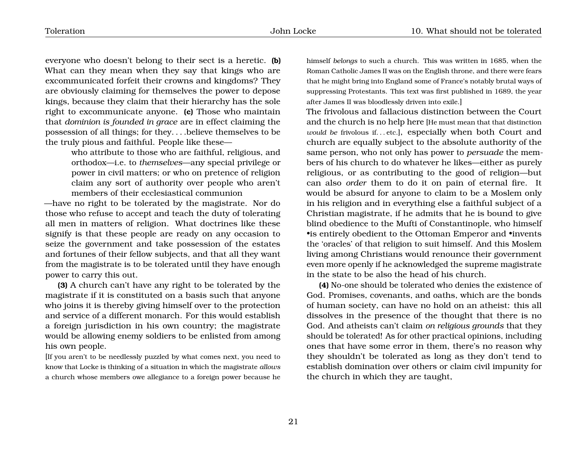everyone who doesn't belong to their sect is a heretic. **(b)** What can they mean when they say that kings who are excommunicated forfeit their crowns and kingdoms? They are obviously claiming for themselves the power to depose kings, because they claim that their hierarchy has the sole right to excommunicate anyone. **(c)** Those who maintain that *dominion is founded in grace* are in effect claiming the possession of all things; for they. . . .believe themselves to be the truly pious and faithful. People like these—

> who attribute to those who are faithful, religious, and orthodox—i.e. to *themselves*—any special privilege or power in civil matters; or who on pretence of religion claim any sort of authority over people who aren't members of their ecclesiastical communion

—have no right to be tolerated by the magistrate. Nor do those who refuse to accept and teach the duty of tolerating all men in matters of religion. What doctrines like these signify is that these people are ready on any occasion to seize the government and take possession of the estates and fortunes of their fellow subjects, and that all they want from the magistrate is to be tolerated until they have enough power to carry this out.

**(3)** A church can't have any right to be tolerated by the magistrate if it is constituted on a basis such that anyone who joins it is thereby giving himself over to the protection and service of a different monarch. For this would establish a foreign jurisdiction in his own country; the magistrate would be allowing enemy soldiers to be enlisted from among his own people.

[If you aren't to be needlessly puzzled by what comes next, you need to know that Locke is thinking of a situation in which the magistrate *allows* a church whose members owe allegiance to a foreign power because he himself *belongs* to such a church. This was written in 1685, when the Roman Catholic James II was on the English throne, and there were fears that he might bring into England some of France's notably brutal ways of suppressing Protestants. This text was first published in 1689, the year after James II was bloodlessly driven into exile.]

The frivolous and fallacious distinction between the Court and the church is no help here [He must mean that that distinction *would be* frivolous if...etc.], especially when both Court and church are equally subject to the absolute authority of the same person, who not only has power to *persuade* the members of his church to do whatever he likes—either as purely religious, or as contributing to the good of religion—but can also *order* them to do it on pain of eternal fire. It would be absurd for anyone to claim to be a Moslem only in his religion and in everything else a faithful subject of a Christian magistrate, if he admits that he is bound to give blind obedience to the Mufti of Constantinople, who himself •is entirely obedient to the Ottoman Emperor and •invents the 'oracles' of that religion to suit himself. And this Moslem living among Christians would renounce their government even more openly if he acknowledged the supreme magistrate in the state to be also the head of his church.

**(4)** No-one should be tolerated who denies the existence of God. Promises, covenants, and oaths, which are the bonds of human society, can have no hold on an atheist: this all dissolves in the presence of the thought that there is no God. And atheists can't claim *on religious grounds* that they should be tolerated! As for other practical opinions, including ones that have some error in them, there's no reason why they shouldn't be tolerated as long as they don't tend to establish domination over others or claim civil impunity for the church in which they are taught,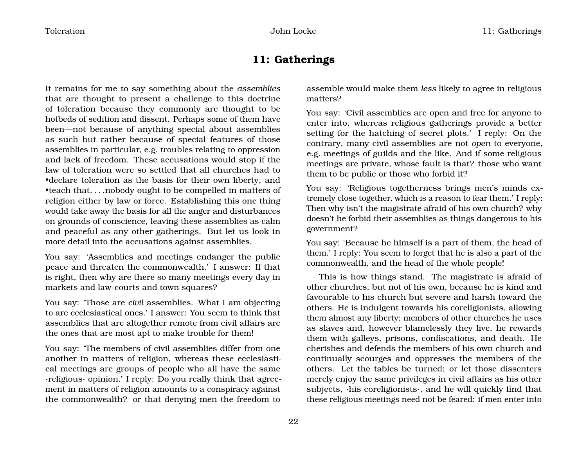# <span id="page-23-0"></span>**11: Gatherings**

It remains for me to say something about the *assemblies* that are thought to present a challenge to this doctrine of toleration because they commonly are thought to be hotbeds of sedition and dissent. Perhaps some of them have been—not because of anything special about assemblies as such but rather because of special features of those assemblies in particular, e.g. troubles relating to oppression and lack of freedom. These accusations would stop if the law of toleration were so settled that all churches had to •declare toleration as the basis for their own liberty, and •teach that. . . .nobody ought to be compelled in matters of religion either by law or force. Establishing this one thing would take away the basis for all the anger and disturbances on grounds of conscience, leaving these assemblies as calm and peaceful as any other gatherings. But let us look in more detail into the accusations against assemblies.

You say: 'Assemblies and meetings endanger the public peace and threaten the commonwealth.' I answer: If that is right, then why are there so many meetings every day in markets and law-courts and town squares?

You say: 'Those are *civil* assemblies. What I am objecting to are ecclesiastical ones.' I answer: You seem to think that assemblies that are altogether remote from civil affairs are the ones that are most apt to make trouble for them!

You say: 'The members of civil assemblies differ from one another in matters of religion, whereas these ecclesiastical meetings are groups of people who all have the same ·religious· opinion.' I reply: Do you really think that agreement in matters of religion amounts to a conspiracy against the commonwealth? or that denying men the freedom to

assemble would make them *less* likely to agree in religious matters?

You say: 'Civil assemblies are open and free for anyone to enter into, whereas religious gatherings provide a better setting for the hatching of secret plots.' I reply: On the contrary, many civil assemblies are not *open* to everyone, e.g. meetings of guilds and the like. And if some religious meetings are private, whose fault is that? those who want them to be public or those who forbid it?

You say: 'Religious togetherness brings men's minds extremely close together, which is a reason to fear them.' I reply: Then why isn't the magistrate afraid of his own church? why doesn't he forbid their assemblies as things dangerous to his government?

You say: 'Because he himself is a part of them, the head of them.' I reply: You seem to forget that he is also a part of the commonwealth, and the head of the whole people!

This is how things stand. The magistrate is afraid of other churches, but not of his own, because he is kind and favourable to his church but severe and harsh toward the others. He is indulgent towards his coreligionists, allowing them almost any liberty; members of other churches he uses as slaves and, however blamelessly they live, he rewards them with galleys, prisons, confiscations, and death. He cherishes and defends the members of his own church and continually scourges and oppresses the members of the others. Let the tables be turned; or let those dissenters merely enjoy the same privileges in civil affairs as his other subjects, ·his coreligionists·, and he will quickly find that these religious meetings need not be feared: if men enter into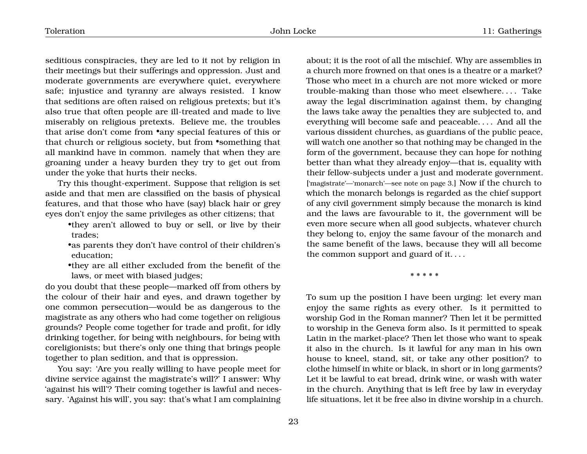seditious conspiracies, they are led to it not by religion in their meetings but their sufferings and oppression. Just and moderate governments are everywhere quiet, everywhere safe; injustice and tyranny are always resisted. I know that seditions are often raised on religious pretexts; but it's also true that often people are ill-treated and made to live miserably on religious pretexts. Believe me, the troubles that arise don't come from •any special features of this or that church or religious society, but from •something that all mankind have in common. namely that when they are groaning under a heavy burden they try to get out from under the yoke that hurts their necks.

Try this thought-experiment. Suppose that religion is set aside and that men are classified on the basis of physical features, and that those who have (say) black hair or grey eyes don't enjoy the same privileges as other citizens; that

•they aren't allowed to buy or sell, or live by their trades;

•as parents they don't have control of their children's education;

•they are all either excluded from the benefit of the laws, or meet with biased judges;

do you doubt that these people—marked off from others by the colour of their hair and eyes, and drawn together by one common persecution—would be as dangerous to the magistrate as any others who had come together on religious grounds? People come together for trade and profit, for idly drinking together, for being with neighbours, for being with coreligionists; but there's only one thing that brings people together to plan sedition, and that is oppression.

You say: 'Are you really willing to have people meet for divine service against the magistrate's will?' I answer: Why 'against his will'? Their coming together is lawful and necessary. 'Against his will', you say: that's what I am complaining

about; it is the root of all the mischief. Why are assemblies in a church more frowned on that ones is a theatre or a market? Those who meet in a church are not more wicked or more trouble-making than those who meet elsewhere. . . . Take away the legal discrimination against them, by changing the laws take away the penalties they are subjected to, and everything will become safe and peaceable. . . . And all the various dissident churches, as guardians of the public peace, will watch one another so that nothing may be changed in the form of the government, because they can hope for nothing better than what they already enjoy—that is, equality with their fellow-subjects under a just and moderate government. ['magistrate'—'monarch'—see note on page [3.](#page-4-0)] Now if the church to which the monarch belongs is regarded as the chief support of any civil government simply because the monarch is kind and the laws are favourable to it, the government will be even more secure when all good subjects, whatever church they belong to, enjoy the same favour of the monarch and the same benefit of the laws, because they will all become the common support and guard of it. . . .

\* \* \* \* \*

To sum up the position I have been urging: let every man enjoy the same rights as every other. Is it permitted to worship God in the Roman manner? Then let it be permitted to worship in the Geneva form also. Is it permitted to speak Latin in the market-place? Then let those who want to speak it also in the church. Is it lawful for any man in his own house to kneel, stand, sit, or take any other position? to clothe himself in white or black, in short or in long garments? Let it be lawful to eat bread, drink wine, or wash with water in the church. Anything that is left free by law in everyday life situations, let it be free also in divine worship in a church.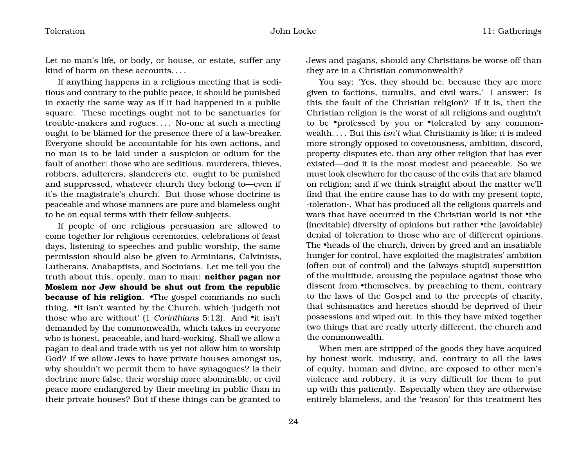Let no man's life, or body, or house, or estate, suffer any kind of harm on these accounts. . . .

If anything happens in a religious meeting that is seditious and contrary to the public peace, it should be punished in exactly the same way as if it had happened in a public square. These meetings ought not to be sanctuaries for trouble-makers and rogues. . . . No-one at such a meeting ought to be blamed for the presence there of a law-breaker. Everyone should be accountable for his own actions, and no man is to be laid under a suspicion or odium for the fault of another: those who are seditious, murderers, thieves, robbers, adulterers, slanderers etc. ought to be punished and suppressed, whatever church they belong to—even if it's the magistrate's church. But those whose doctrine is peaceable and whose manners are pure and blameless ought to be on equal terms with their fellow-subjects.

If people of one religious persuasion are allowed to come together for religious ceremonies, celebrations of feast days, listening to speeches and public worship, the same permission should also be given to Arminians, Calvinists, Lutherans, Anabaptists, and Socinians. Let me tell you the truth about this, openly, man to man: **neither pagan nor Moslem nor Jew should be shut out from the republic because of his religion**. •The gospel commands no such thing. •It isn't wanted by the Church, which 'judgeth not those who are without' (1 *Corinthians* 5:12). And •it isn't demanded by the commonwealth, which takes in everyone who is honest, peaceable, and hard-working. Shall we allow a pagan to deal and trade with us yet not allow him to worship God? If we allow Jews to have private houses amongst us, why shouldn't we permit them to have synagogues? Is their doctrine more false, their worship more abominable, or civil peace more endangered by their meeting in public than in their private houses? But if these things can be granted to

Jews and pagans, should any Christians be worse off than they are in a Christian commonwealth?

You say: 'Yes, they should be, because they are more given to factions, tumults, and civil wars.' I answer: Is this the fault of the Christian religion? If it is, then the Christian religion is the worst of all religions and oughtn't to be •professed by you or •tolerated by any commonwealth. . . . But this *isn't* what Christianity is like; it is indeed more strongly opposed to covetousness, ambition, discord, property-disputes etc. than any other religion that has ever existed—*and* it is the most modest and peaceable. So we must look elsewhere for the cause of the evils that are blamed on religion; and if we think straight about the matter we'll find that the entire cause has to do with my present topic, ·toleration·. What has produced all the religious quarrels and wars that have occurred in the Christian world is not •the (inevitable) diversity of opinions but rather •the (avoidable) denial of toleration to those who are of different opinions. The •heads of the church, driven by greed and an insatiable hunger for control, have exploited the magistrates' ambition (often out of control) and the (always stupid) superstition of the multitude, arousing the populace against those who dissent from •themselves, by preaching to them, contrary to the laws of the Gospel and to the precepts of charity, that schismatics and heretics should be deprived of their possessions and wiped out. In this they have mixed together two things that are really utterly different, the church and the commonwealth.

When men are stripped of the goods they have acquired by honest work, industry, and, contrary to all the laws of equity, human and divine, are exposed to other men's violence and robbery, it is very difficult for them to put up with this patiently. Especially when they are otherwise entirely blameless, and the 'reason' for this treatment lies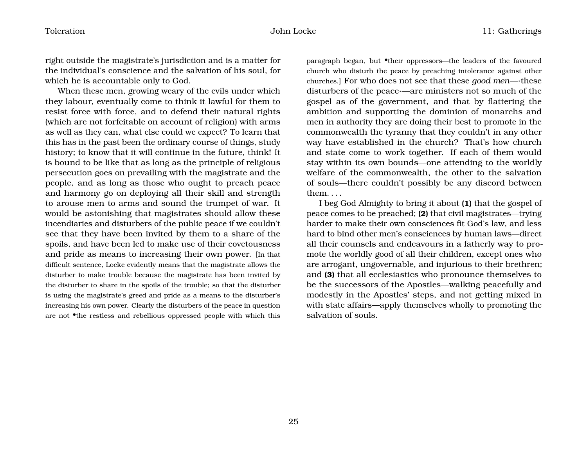right outside the magistrate's jurisdiction and is a matter for the individual's conscience and the salvation of his soul, for which he is accountable only to God.

When these men, growing weary of the evils under which they labour, eventually come to think it lawful for them to resist force with force, and to defend their natural rights (which are not forfeitable on account of religion) with arms as well as they can, what else could we expect? To learn that this has in the past been the ordinary course of things, study history; to know that it will continue in the future, think! It is bound to be like that as long as the principle of religious persecution goes on prevailing with the magistrate and the people, and as long as those who ought to preach peace and harmony go on deploying all their skill and strength to arouse men to arms and sound the trumpet of war. It would be astonishing that magistrates should allow these incendiaries and disturbers of the public peace if we couldn't see that they have been invited by them to a share of the spoils, and have been led to make use of their covetousness and pride as means to increasing their own power. [In that difficult sentence, Locke evidently means that the magistrate allows the disturber to make trouble because the magistrate has been invited by the disturber to share in the spoils of the trouble; so that the disturber is using the magistrate's greed and pride as a means to the disturber's increasing his own power. Clearly the disturbers of the peace in question are not •the restless and rebellious oppressed people with which this

paragraph began, but •their oppressors—the leaders of the favoured church who disturb the peace by preaching intolerance against other churches.] For who does not see that these *good men*—·these disturbers of the peace·—are ministers not so much of the gospel as of the government, and that by flattering the ambition and supporting the dominion of monarchs and men in authority they are doing their best to promote in the commonwealth the tyranny that they couldn't in any other way have established in the church? That's how church and state come to work together. If each of them would stay within its own bounds—one attending to the worldly welfare of the commonwealth, the other to the salvation of souls—there couldn't possibly be any discord between them. . . .

I beg God Almighty to bring it about **(1)** that the gospel of peace comes to be preached; **(2)** that civil magistrates—trying harder to make their own consciences fit God's law, and less hard to bind other men's consciences by human laws—direct all their counsels and endeavours in a fatherly way to promote the worldly good of all their children, except ones who are arrogant, ungovernable, and injurious to their brethren; and **(3)** that all ecclesiastics who pronounce themselves to be the successors of the Apostles—walking peacefully and modestly in the Apostles' steps, and not getting mixed in with state affairs—apply themselves wholly to promoting the salvation of souls.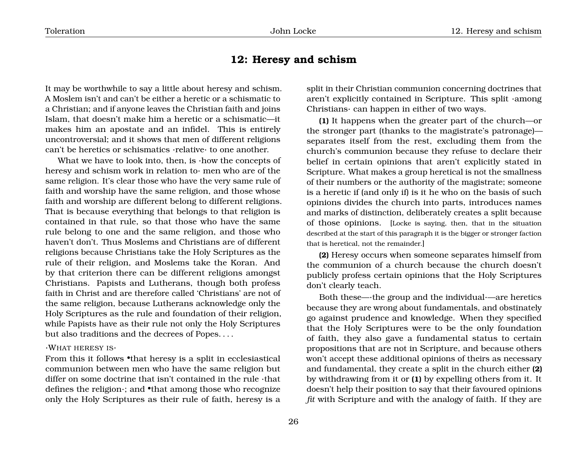### <span id="page-27-0"></span>**12: Heresy and schism**

It may be worthwhile to say a little about heresy and schism. A Moslem isn't and can't be either a heretic or a schismatic to a Christian; and if anyone leaves the Christian faith and joins Islam, that doesn't make him a heretic or a schismatic—it makes him an apostate and an infidel. This is entirely uncontroversial; and it shows that men of different religions can't be heretics or schismatics ·relative· to one another.

What we have to look into, then, is **how** the concepts of heresy and schism work in relation to· men who are of the same religion. It's clear those who have the very same rule of faith and worship have the same religion, and those whose faith and worship are different belong to different religions. That is because everything that belongs to that religion is contained in that rule, so that those who have the same rule belong to one and the same religion, and those who haven't don't. Thus Moslems and Christians are of different religions because Christians take the Holy Scriptures as the rule of their religion, and Moslems take the Koran. And by that criterion there can be different religions amongst Christians. Papists and Lutherans, though both profess faith in Christ and are therefore called 'Christians' are not of the same religion, because Lutherans acknowledge only the Holy Scriptures as the rule and foundation of their religion, while Papists have as their rule not only the Holy Scriptures but also traditions and the decrees of Popes. . . .

#### ·WHAT HERESY IS·

From this it follows •that heresy is a split in ecclesiastical communion between men who have the same religion but differ on some doctrine that isn't contained in the rule ·that defines the religion·; and •that among those who recognize only the Holy Scriptures as their rule of faith, heresy is a

split in their Christian communion concerning doctrines that aren't explicitly contained in Scripture. This split ·among Christians· can happen in either of two ways.

**(1)** It happens when the greater part of the church—or the stronger part (thanks to the magistrate's patronage) separates itself from the rest, excluding them from the church's communion because they refuse to declare their belief in certain opinions that aren't explicitly stated in Scripture. What makes a group heretical is not the smallness of their numbers or the authority of the magistrate; someone is a heretic if (and only if) is it he who on the basis of such opinions divides the church into parts, introduces names and marks of distinction, deliberately creates a split because of those opinions. [Locke is saying, then, that in the situation described at the start of this paragraph it is the bigger or stronger faction that is heretical, not the remainder.]

**(2)** Heresy occurs when someone separates himself from the communion of a church because the church doesn't publicly profess certain opinions that the Holy Scriptures don't clearly teach.

Both these—·the group and the individual·—are heretics because they are wrong about fundamentals, and obstinately go against prudence and knowledge. When they specified that the Holy Scriptures were to be the only foundation of faith, they also gave a fundamental status to certain propositions that are not in Scripture, and because others won't accept these additional opinions of theirs as necessary and fundamental, they create a split in the church either **(2)** by withdrawing from it or **(1)** by expelling others from it. It doesn't help their position to say that their favoured opinions *fit* with Scripture and with the analogy of faith. If they are